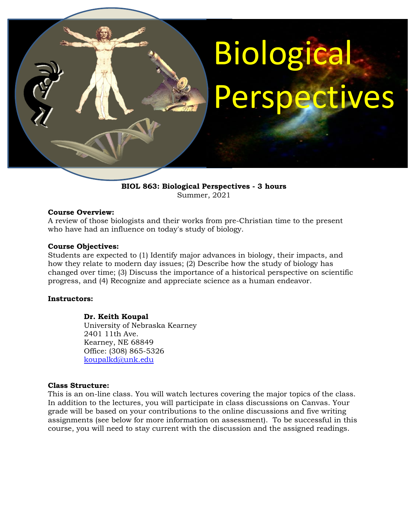# Biological Perspectives

**BIOL 863: Biological Perspectives - 3 hours** Summer, 2021

#### **Course Overview:**

A review of those biologists and their works from pre-Christian time to the present who have had an influence on today's study of biology.

#### **Course Objectives:**

Students are expected to (1) Identify major advances in biology, their impacts, and how they relate to modern day issues; (2) Describe how the study of biology has changed over time; (3) Discuss the importance of a historical perspective on scientific progress, and (4) Recognize and appreciate science as a human endeavor.

#### **Instructors:**

# **Dr. Keith Koupal**

University of Nebraska Kearney 2401 11th Ave. Kearney, NE 68849 Office: (308) 865-5326 [koupalkd@unk.edu](mailto:koupalkd@unk.edu)

#### **Class Structure:**

This is an on-line class. You will watch lectures covering the major topics of the class. In addition to the lectures, you will participate in class discussions on Canvas. Your grade will be based on your contributions to the online discussions and five writing assignments (see below for more information on assessment). To be successful in this course, you will need to stay current with the discussion and the assigned readings.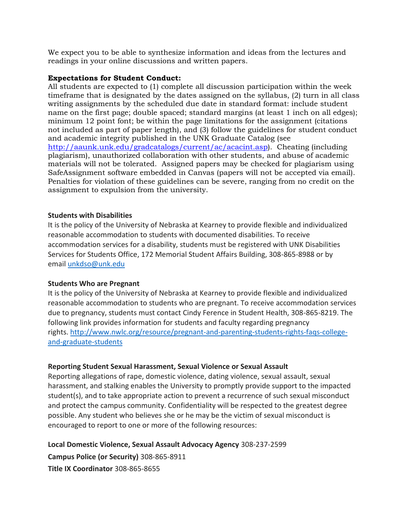We expect you to be able to synthesize information and ideas from the lectures and readings in your online discussions and written papers.

#### **Expectations for Student Conduct:**

All students are expected to (1) complete all discussion participation within the week timeframe that is designated by the dates assigned on the syllabus, (2) turn in all class writing assignments by the scheduled due date in standard format: include student name on the first page; double spaced; standard margins (at least 1 inch on all edges); minimum 12 point font; be within the page limitations for the assignment (citations not included as part of paper length), and (3) follow the guidelines for student conduct and academic integrity published in the UNK Graduate Catalog (see [http://aaunk.unk.edu/gradcatalogs/current/ac/acacint.asp\)](http://aaunk.unk.edu/gradcatalogs/current/ac/acacint.asp). Cheating (including plagiarism), unauthorized collaboration with other students, and abuse of academic materials will not be tolerated. Assigned papers may be checked for plagiarism using SafeAssignment software embedded in Canvas (papers will not be accepted via email). Penalties for violation of these guidelines can be severe, ranging from no credit on the assignment to expulsion from the university.

# **Students with Disabilities**

It is the policy of the University of Nebraska at Kearney to provide flexible and individualized reasonable accommodation to students with documented disabilities. To receive accommodation services for a disability, students must be registered with UNK Disabilities Services for Students Office, 172 Memorial Student Affairs Building, 308-865-8988 or by email [unkdso@unk.edu](mailto:unkdso@unk.edu)

# **Students Who are Pregnant**

It is the policy of the University of Nebraska at Kearney to provide flexible and individualized reasonable accommodation to students who are pregnant. To receive accommodation services due to pregnancy, students must contact Cindy Ference in Student Health, 308-865-8219. The following link provides information for students and faculty regarding pregnancy rights. [http://www.nwlc.org/resource/pregnant-and-parenting-students-rights-faqs-college](https://urldefense.proofpoint.com/v2/url?u=http-3A__www.nwlc.org_resource_pregnant-2Dand-2Dparenting-2Dstudents-2Drights-2Dfaqs-2Dcollege-2Dand-2Dgraduate-2Dstudents&d=DwMFAg&c=Cu5g146wZdoqVuKpTNsYHeFX_rg6kWhlkLF8Eft-wwo&r=BJkIhAaMtWY7PlqIhIOyVw&m=RgBL3s2VNHfvD5ReMK2q_PhwYU8dbEt1vxs1BO4WkpQ&s=MmB91XAzaW-E7UPMXPGx9tWJQbTWJYyYzM8gLjhEzQ0&e=)[and-graduate-students](https://urldefense.proofpoint.com/v2/url?u=http-3A__www.nwlc.org_resource_pregnant-2Dand-2Dparenting-2Dstudents-2Drights-2Dfaqs-2Dcollege-2Dand-2Dgraduate-2Dstudents&d=DwMFAg&c=Cu5g146wZdoqVuKpTNsYHeFX_rg6kWhlkLF8Eft-wwo&r=BJkIhAaMtWY7PlqIhIOyVw&m=RgBL3s2VNHfvD5ReMK2q_PhwYU8dbEt1vxs1BO4WkpQ&s=MmB91XAzaW-E7UPMXPGx9tWJQbTWJYyYzM8gLjhEzQ0&e=)

# **Reporting Student Sexual Harassment, Sexual Violence or Sexual Assault**

Reporting allegations of rape, domestic violence, dating violence, sexual assault, sexual harassment, and stalking enables the University to promptly provide support to the impacted student(s), and to take appropriate action to prevent a recurrence of such sexual misconduct and protect the campus community. Confidentiality will be respected to the greatest degree possible. Any student who believes she or he may be the victim of sexual misconduct is encouraged to report to one or more of the following resources:

**Local Domestic Violence, Sexual Assault Advocacy Agency** 308-237-2599 **Campus Police (or Security)** 308-865-8911

**Title IX Coordinator** 308-865-8655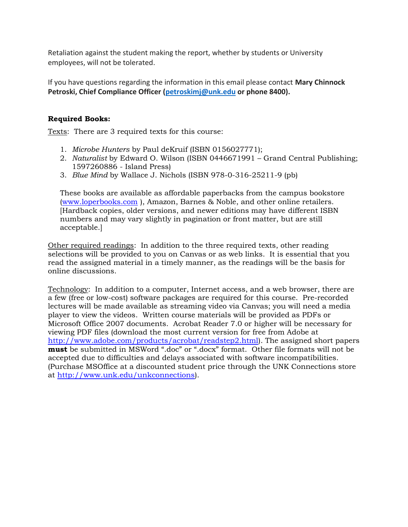Retaliation against the student making the report, whether by students or University employees, will not be tolerated.

If you have questions regarding the information in this email please contact **Mary Chinnock Petroski, Chief Compliance Officer [\(petroskimj@unk.edu](mailto:petroskimj@unk.edu) or phone 8400).**

# **Required Books:**

Texts: There are 3 required texts for this course:

- 1. *Microbe Hunters* by Paul deKruif (ISBN 0156027771);
- 2. *Naturalist* by Edward O. Wilson (ISBN 0446671991 Grand Central Publishing; 1597260886 - Island Press)
- 3. *Blue Mind* by Wallace J. Nichols (ISBN 978-0-316-25211-9 (pb)

These books are available as affordable paperbacks from the campus bookstore [\(www.loperbooks.com](http://www.loperbooks.com/) ), Amazon, Barnes & Noble, and other online retailers. [Hardback copies, older versions, and newer editions may have different ISBN numbers and may vary slightly in pagination or front matter, but are still acceptable.]

Other required readings: In addition to the three required texts, other reading selections will be provided to you on Canvas or as web links. It is essential that you read the assigned material in a timely manner, as the readings will be the basis for online discussions.

Technology: In addition to a computer, Internet access, and a web browser, there are a few (free or low-cost) software packages are required for this course. Pre-recorded lectures will be made available as streaming video via Canvas; you will need a media player to view the videos. Written course materials will be provided as PDFs or Microsoft Office 2007 documents. Acrobat Reader 7.0 or higher will be necessary for viewing PDF files (download the most current version for free from Adobe at [http://www.adobe.com/products/acrobat/readstep2.html\)](http://www.adobe.com/products/acrobat/readstep2.html). The assigned short papers **must** be submitted in MSWord ".doc" or ".docx" format. Other file formats will not be accepted due to difficulties and delays associated with software incompatibilities. (Purchase MSOffice at a discounted student price through the UNK Connections store at [http://www.unk.edu/unkconnections\)](http://www.unk.edu/unkconnections).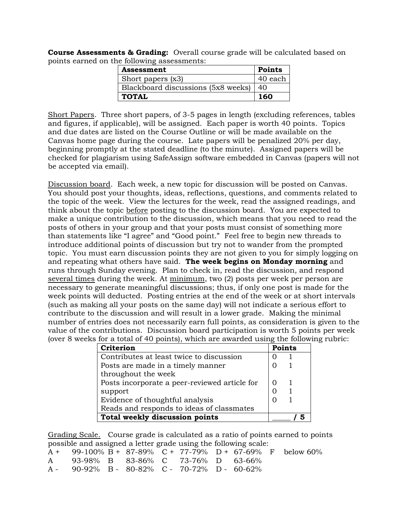**Course Assessments & Grading:** Overall course grade will be calculated based on points earned on the following assessments:

| Assessment                         | <b>Points</b> |
|------------------------------------|---------------|
| Short papers (x3)                  | 40 each       |
| Blackboard discussions (5x8 weeks) | 40            |
| <b>TOTAL</b>                       | 160           |

Short Papers. Three short papers, of 3-5 pages in length (excluding references, tables and figures, if applicable), will be assigned. Each paper is worth 40 points. Topics and due dates are listed on the Course Outline or will be made available on the Canvas home page during the course. Late papers will be penalized 20% per day, beginning promptly at the stated deadline (to the minute). Assigned papers will be checked for plagiarism using SafeAssign software embedded in Canvas (papers will not be accepted via email).

Discussion board. Each week, a new topic for discussion will be posted on Canvas. You should post your thoughts, ideas, reflections, questions, and comments related to the topic of the week. View the lectures for the week, read the assigned readings, and think about the topic before posting to the discussion board. You are expected to make a unique contribution to the discussion, which means that you need to read the posts of others in your group and that your posts must consist of something more than statements like "I agree" and "Good point." Feel free to begin new threads to introduce additional points of discussion but try not to wander from the prompted topic. You must earn discussion points they are not given to you for simply logging on and repeating what others have said. **The week begins on Monday morning** and runs through Sunday evening. Plan to check in, read the discussion, and respond several times during the week. At minimum, two (2) posts per week per person are necessary to generate meaningful discussions; thus, if only one post is made for the week points will deducted. Posting entries at the end of the week or at short intervals (such as making all your posts on the same day) will not indicate a serious effort to contribute to the discussion and will result in a lower grade. Making the minimal number of entries does not necessarily earn full points, as consideration is given to the value of the contributions. Discussion board participation is worth 5 points per week (over 8 weeks for a total of 40 points), which are awarded using the following rubric:

| s ior a total of 40 politis), which are awarded using the followin |               |  |  |
|--------------------------------------------------------------------|---------------|--|--|
| Criterion                                                          | <b>Points</b> |  |  |
| Contributes at least twice to discussion                           |               |  |  |
| Posts are made in a timely manner                                  |               |  |  |
| throughout the week                                                |               |  |  |
| Posts incorporate a peer-reviewed article for                      |               |  |  |
| support                                                            |               |  |  |
| Evidence of thoughtful analysis                                    |               |  |  |
| Reads and responds to ideas of classmates                          |               |  |  |
| Total weekly discussion points                                     |               |  |  |

Grading Scale.Course grade is calculated as a ratio of points earned to points possible and assigned a letter grade using the following scale:

|                                                |  |  |  | $A + 99-100\% B + 87-89\% C + 77-79\% D + 67-69\% F$ below 60% |
|------------------------------------------------|--|--|--|----------------------------------------------------------------|
| A 93-98% B 83-86% C 73-76% D 63-66%            |  |  |  |                                                                |
| $A - 90-92\%$ B - 80-82% C - 70-72% D - 60-62% |  |  |  |                                                                |